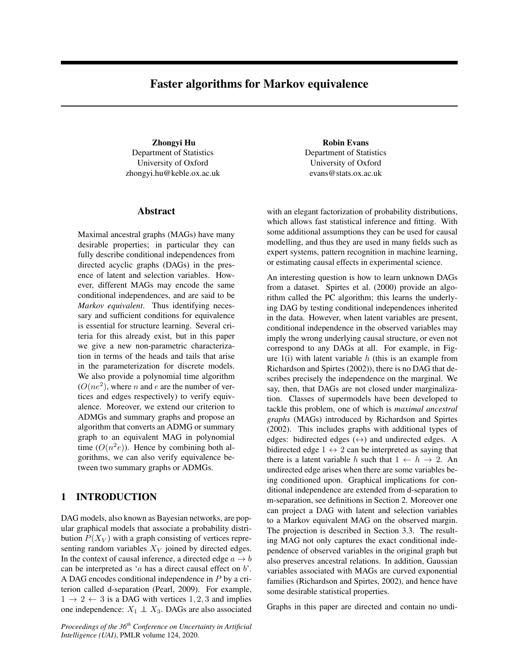# Faster algorithms for Markov equivalence

Zhongyi Hu Department of Statistics University of Oxford zhongyi.hu@keble.ox.ac.uk

### Abstract

Maximal ancestral graphs (MAGs) have many desirable properties; in particular they can fully describe conditional independences from directed acyclic graphs (DAGs) in the presence of latent and selection variables. However, different MAGs may encode the same conditional independences, and are said to be *Markov equivalent*. Thus identifying necessary and sufficient conditions for equivalence is essential for structure learning. Several criteria for this already exist, but in this paper we give a new non-parametric characterization in terms of the heads and tails that arise in the parameterization for discrete models. We also provide a polynomial time algorithm  $(O(ne<sup>2</sup>)$ , where *n* and *e* are the number of vertices and edges respectively) to verify equivalence. Moreover, we extend our criterion to ADMGs and summary graphs and propose an algorithm that converts an ADMG or summary graph to an equivalent MAG in polynomial time  $(O(n^2e))$ . Hence by combining both algorithms, we can also verify equivalence between two summary graphs or ADMGs.

# 1 INTRODUCTION

DAG models, also known as Bayesian networks, are popular graphical models that associate a probability distribution  $P(X_V)$  with a graph consisting of vertices representing random variables  $X_V$  joined by directed edges. In the context of causal inference, a directed edge  $a \rightarrow b$ can be interpreted as 'a has a direct causal effect on  $b$ '. A DAG encodes conditional independence in P by a criterion called d-separation (Pearl, 2009). For example,  $1 \rightarrow 2 \leftarrow 3$  is a DAG with vertices 1, 2, 3 and implies one independence:  $X_1 \perp X_3$ . DAGs are also associated

*Proceedings of the 36th Conference on Uncertainty in Artificial Intelligence (UAI)*, PMLR volume 124, 2020.

Robin Evans Department of Statistics University of Oxford evans@stats.ox.ac.uk

with an elegant factorization of probability distributions, which allows fast statistical inference and fitting. With some additional assumptions they can be used for causal modelling, and thus they are used in many fields such as expert systems, pattern recognition in machine learning, or estimating causal effects in experimental science.

An interesting question is how to learn unknown DAGs from a dataset. Spirtes et al. (2000) provide an algorithm called the PC algorithm; this learns the underlying DAG by testing conditional independences inherited in the data. However, when latent variables are present, conditional independence in the observed variables may imply the wrong underlying causal structure, or even not correspond to any DAGs at all. For example, in Figure  $1(i)$  with latent variable h (this is an example from Richardson and Spirtes (2002)), there is no DAG that describes precisely the independence on the marginal. We say, then, that DAGs are not closed under marginalization. Classes of supermodels have been developed to tackle this problem, one of which is *maximal ancestral graphs* (MAGs) introduced by Richardson and Spirtes (2002). This includes graphs with additional types of edges: bidirected edges  $(\leftrightarrow)$  and undirected edges. A bidirected edge  $1 \leftrightarrow 2$  can be interpreted as saying that there is a latent variable h such that  $1 \leftarrow h \rightarrow 2$ . An undirected edge arises when there are some variables being conditioned upon. Graphical implications for conditional independence are extended from d-separation to m-separation, see definitions in Section 2. Moreover one can project a DAG with latent and selection variables to a Markov equivalent MAG on the observed margin. The projection is described in Section 3.3. The resulting MAG not only captures the exact conditional independence of observed variables in the original graph but also preserves ancestral relations. In addition, Gaussian variables associated with MAGs are curved exponential families (Richardson and Spirtes, 2002), and hence have some desirable statistical properties.

Graphs in this paper are directed and contain no undi-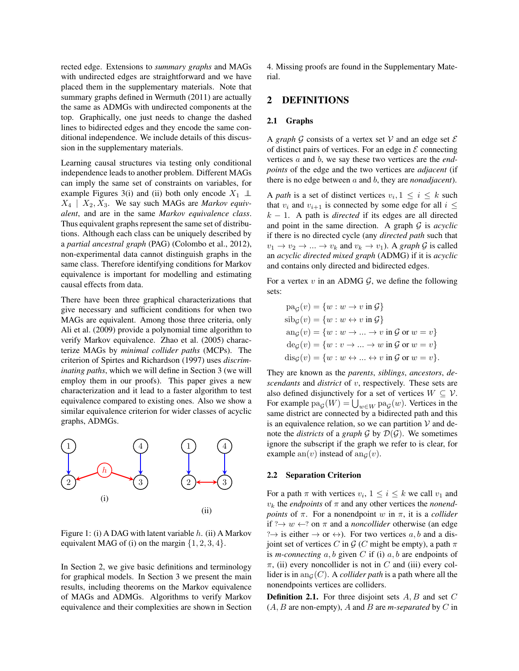rected edge. Extensions to *summary graphs* and MAGs with undirected edges are straightforward and we have placed them in the supplementary materials. Note that summary graphs defined in Wermuth (2011) are actually the same as ADMGs with undirected components at the top. Graphically, one just needs to change the dashed lines to bidirected edges and they encode the same conditional independence. We include details of this discussion in the supplementary materials.

Learning causal structures via testing only conditional independence leads to another problem. Different MAGs can imply the same set of constraints on variables, for example Figures 3(i) and (ii) both only encode  $X_1 \perp \!\!\! \perp$  $X_4$  |  $X_2, X_3$ . We say such MAGs are *Markov equivalent*, and are in the same *Markov equivalence class*. Thus equivalent graphs represent the same set of distributions. Although each class can be uniquely described by a *partial ancestral graph* (PAG) (Colombo et al., 2012), non-experimental data cannot distinguish graphs in the same class. Therefore identifying conditions for Markov equivalence is important for modelling and estimating causal effects from data.

There have been three graphical characterizations that give necessary and sufficient conditions for when two MAGs are equivalent. Among those three criteria, only Ali et al. (2009) provide a polynomial time algorithm to verify Markov equivalence. Zhao et al. (2005) characterize MAGs by *minimal collider paths* (MCPs). The criterion of Spirtes and Richardson (1997) uses *discriminating paths*, which we will define in Section 3 (we will employ them in our proofs). This paper gives a new characterization and it lead to a faster algorithm to test equivalence compared to existing ones. Also we show a similar equivalence criterion for wider classes of acyclic graphs, ADMGs.



Figure 1: (i) A DAG with latent variable  $h$ . (ii) A Markov equivalent MAG of (i) on the margin  $\{1, 2, 3, 4\}.$ 

In Section 2, we give basic definitions and terminology for graphical models. In Section 3 we present the main results, including theorems on the Markov equivalence of MAGs and ADMGs. Algorithms to verify Markov equivalence and their complexities are shown in Section 4. Missing proofs are found in the Supplementary Material.

## 2 DEFINITIONS

#### 2.1 Graphs

A *graph*  $G$  consists of a vertex set  $V$  and an edge set  $E$ of distinct pairs of vertices. For an edge in  $\mathcal E$  connecting vertices a and b, we say these two vertices are the *endpoints* of the edge and the two vertices are *adjacent* (if there is no edge between a and b, they are *nonadjacent*).

A *path* is a set of distinct vertices  $v_i, 1 \leq i \leq k$  such that  $v_i$  and  $v_{i+1}$  is connected by some edge for all  $i \leq$  $k - 1$ . A path is *directed* if its edges are all directed and point in the same direction. A graph G is *acyclic* if there is no directed cycle (any *directed path* such that  $v_1 \rightarrow v_2 \rightarrow \dots \rightarrow v_k$  and  $v_k \rightarrow v_1$ ). A *graph* G is called an *acyclic directed mixed graph* (ADMG) if it is *acyclic* and contains only directed and bidirected edges.

For a vertex  $v$  in an ADMG  $\mathcal{G}$ , we define the following sets:

$$
pa_{\mathcal{G}}(v) = \{w : w \to v \text{ in } \mathcal{G}\}
$$
  
\n
$$
sib_{\mathcal{G}}(v) = \{w : w \leftrightarrow v \text{ in } \mathcal{G}\}
$$
  
\n
$$
an_{\mathcal{G}}(v) = \{w : w \to \dots \to v \text{ in } \mathcal{G} \text{ or } w = v\}
$$
  
\n
$$
de_{\mathcal{G}}(v) = \{w : v \to \dots \to w \text{ in } \mathcal{G} \text{ or } w = v\}
$$
  
\n
$$
dis_{\mathcal{G}}(v) = \{w : w \leftrightarrow \dots \leftrightarrow v \text{ in } \mathcal{G} \text{ or } w = v\}.
$$

They are known as the *parents*, *siblings*, *ancestors*, *descendants* and *district* of v, respectively. These sets are also defined disjunctively for a set of vertices  $W \subseteq V$ . For example  $pa_{\mathcal{G}}(W) = \bigcup_{w \in W} pa_{\mathcal{G}}(w)$ . Vertices in the same district are connected by a bidirected path and this is an equivalence relation, so we can partition  $V$  and denote the *districts* of a *graph*  $G$  by  $\mathcal{D}(G)$ . We sometimes ignore the subscript if the graph we refer to is clear, for example an(v) instead of an $_G(v)$ .

#### 2.2 Separation Criterion

For a path  $\pi$  with vertices  $v_i$ ,  $1 \le i \le k$  we call  $v_1$  and  $v_k$  the *endpoints* of  $\pi$  and any other vertices the *nonendpoints* of  $\pi$ . For a nonendpoint w in  $\pi$ , it is a *collider* if  $? \rightarrow w \leftarrow ?$  on  $\pi$  and a *noncollider* otherwise (an edge  $? \rightarrow$  is either  $\rightarrow$  or  $\leftrightarrow$ ). For two vertices a, b and a disjoint set of vertices C in G (C might be empty), a path  $\pi$ is *m-connecting*  $a, b$  given  $C$  if (i)  $a, b$  are endpoints of  $\pi$ , (ii) every noncollider is not in C and (iii) every collider is in an<sub> $G(C)$ </sub>. A *collider path* is a path where all the nonendpoints vertices are colliders.

**Definition 2.1.** For three disjoint sets  $A, B$  and set  $C$  $(A, B$  are non-empty), A and B are *m*-separated by C in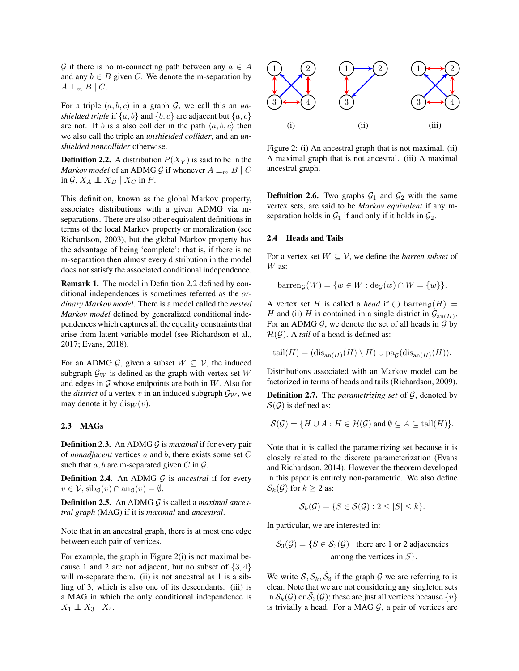G if there is no m-connecting path between any  $a \in A$ and any  $b \in B$  given C. We denote the m-separation by  $A \perp_m B \mid C$ .

For a triple  $(a, b, c)$  in a graph  $G$ , we call this an *unshielded triple* if  $\{a, b\}$  and  $\{b, c\}$  are adjacent but  $\{a, c\}$ are not. If b is a also collider in the path  $\langle a, b, c \rangle$  then we also call the triple an *unshielded collider*, and an *unshielded noncollider* otherwise.

**Definition 2.2.** A distribution  $P(X_V)$  is said to be in the *Markov model* of an ADMG G if whenever  $A \perp_{m} B \mid C$ in  $\mathcal{G}, X_A \perp\!\!\!\perp X_B | X_C$  in P.

This definition, known as the global Markov property, associates distributions with a given ADMG via mseparations. There are also other equivalent definitions in terms of the local Markov property or moralization (see Richardson, 2003), but the global Markov property has the advantage of being 'complete': that is, if there is no m-separation then almost every distribution in the model does not satisfy the associated conditional independence.

Remark 1. The model in Definition 2.2 defined by conditional independences is sometimes referred as the *ordinary Markov model*. There is a model called the *nested Markov model* defined by generalized conditional independences which captures all the equality constraints that arise from latent variable model (see Richardson et al., 2017; Evans, 2018).

For an ADMG  $G$ , given a subset  $W \subseteq V$ , the induced subgraph  $\mathcal{G}_W$  is defined as the graph with vertex set W and edges in  $G$  whose endpoints are both in  $W$ . Also for the *district* of a vertex v in an induced subgraph  $\mathcal{G}_W$ , we may denote it by  $dis<sub>W</sub>(v)$ .

#### 2.3 MAGs

Definition 2.3. An ADMG G is *maximal* if for every pair of *nonadjacent* vertices a and b, there exists some set C such that  $a, b$  are m-separated given C in  $\mathcal{G}$ .

Definition 2.4. An ADMG G is *ancestral* if for every  $v \in \mathcal{V}$ ,  $\operatorname{sib}_{\mathcal{G}}(v) \cap \operatorname{ang}(v) = \emptyset$ .

Definition 2.5. An ADMG G is called a *maximal ancestral graph* (MAG) if it is *maximal* and *ancestral*.

Note that in an ancestral graph, there is at most one edge between each pair of vertices.

For example, the graph in Figure 2(i) is not maximal because 1 and 2 are not adjacent, but no subset of  $\{3, 4\}$ will m-separate them. (ii) is not ancestral as 1 is a sibling of 3, which is also one of its descendants. (iii) is a MAG in which the only conditional independence is  $X_1 \perp\!\!\!\perp X_3 \mid X_4.$ 



Figure 2: (i) An ancestral graph that is not maximal. (ii) A maximal graph that is not ancestral. (iii) A maximal ancestral graph.

**Definition 2.6.** Two graphs  $G_1$  and  $G_2$  with the same vertex sets, are said to be *Markov equivalent* if any mseparation holds in  $\mathcal{G}_1$  if and only if it holds in  $\mathcal{G}_2$ .

#### 2.4 Heads and Tails

For a vertex set  $W \subseteq V$ , we define the *barren subset* of W as:

$$
barren_{\mathcal{G}}(W) = \{w \in W : \deg(w) \cap W = \{w\}\}.
$$

A vertex set H is called a *head* if (i) barren<sub>G</sub>(H) = H and (ii) H is contained in a single district in  $\mathcal{G}_{an(H)}$ . For an ADMG  $G$ , we denote the set of all heads in  $G$  by  $\mathcal{H}(\mathcal{G})$ . A *tail* of a head is defined as:

$$
\operatorname{tail}(H) = (\operatorname{dis}_{\operatorname{an}(H)}(H) \setminus H) \cup \operatorname{pa}_{\mathcal{G}}(\operatorname{dis}_{\operatorname{an}(H)}(H)).
$$

Distributions associated with an Markov model can be factorized in terms of heads and tails (Richardson, 2009).

Definition 2.7. The *parametrizing set* of G, denoted by  $S(G)$  is defined as:

$$
\mathcal{S}(\mathcal{G}) = \{ H \cup A : H \in \mathcal{H}(\mathcal{G}) \text{ and } \emptyset \subseteq A \subseteq \text{tail}(H) \}.
$$

Note that it is called the parametrizing set because it is closely related to the discrete parameterization (Evans and Richardson, 2014). However the theorem developed in this paper is entirely non-parametric. We also define  $S_k(\mathcal{G})$  for  $k \geq 2$  as:

$$
\mathcal{S}_k(\mathcal{G}) = \{ S \in \mathcal{S}(\mathcal{G}) : 2 \leq |S| \leq k \}.
$$

In particular, we are interested in:

$$
\tilde{S}_3(\mathcal{G}) = \{ S \in S_3(\mathcal{G}) \mid \text{there are 1 or 2 adjacencies} \}
$$
  
among the vertices in S}.

We write  $S, S_k, \tilde{S}_3$  if the graph G we are referring to is clear. Note that we are not considering any singleton sets in  $S_k(G)$  or  $\tilde{S}_3(G)$ ; these are just all vertices because  $\{v\}$ is trivially a head. For a MAG  $G$ , a pair of vertices are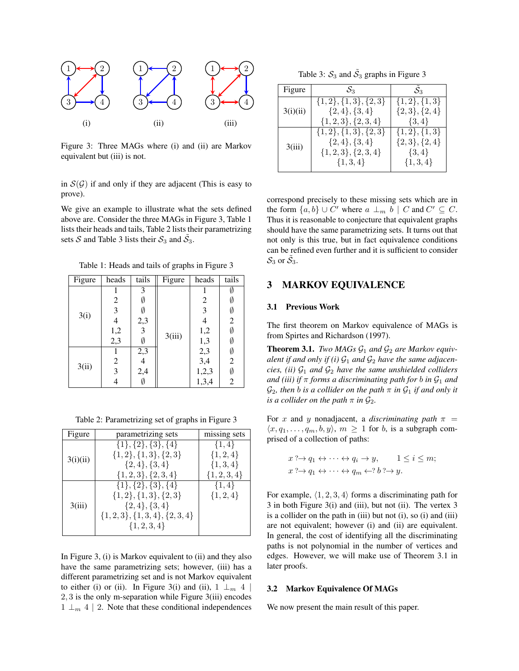

Figure 3: Three MAGs where (i) and (ii) are Markov equivalent but (iii) is not.

in  $S(G)$  if and only if they are adjacent (This is easy to prove).

We give an example to illustrate what the sets defined above are. Consider the three MAGs in Figure 3, Table 1 lists their heads and tails, Table 2 lists their parametrizing sets S and Table 3 lists their  $S_3$  and  $\tilde{S}_3$ .

Table 1: Heads and tails of graphs in Figure 3

| Figure | heads                   | tails                    | Figure | heads                   | tails                 |
|--------|-------------------------|--------------------------|--------|-------------------------|-----------------------|
| 3(i)   |                         | 3                        | 3(iii) |                         |                       |
|        | $\overline{c}$          | Ø                        |        | $\overline{\mathbf{c}}$ | Ø                     |
|        | 3                       | Ø                        |        | 3                       | Ø                     |
|        | $\overline{4}$          |                          |        | 4                       |                       |
|        |                         | $2,3$<br>3               |        | 1,2                     | $\frac{2}{\emptyset}$ |
|        | $1,2$<br>$2,3$          | Ø                        |        | 1,3                     | Ø                     |
| 3(ii)  |                         | $\overline{2,3}$         |        | $2,3$<br>$3,4$          | $\frac{\emptyset}{2}$ |
|        | $\overline{c}$          | $\overline{\mathcal{L}}$ |        |                         |                       |
|        | $\overline{\mathbf{3}}$ | 2,4                      |        | $1,2,3$<br>$1,3,4$      | $\frac{\emptyset}{2}$ |
|        | 4                       | Ø                        |        |                         |                       |

Table 2: Parametrizing set of graphs in Figure 3

| Figure   | parametrizing sets                | missing sets     |
|----------|-----------------------------------|------------------|
| 3(i)(ii) | $\{1\}, \{2\}, \{3\}, \{4\}$      | $\{1,4\}$        |
|          | $\{1,2\}, \{1,3\}, \{2,3\}$       | $\{1, 2, 4\}$    |
|          | $\{2,4\}, \{3,4\}$                | $\{1, 3, 4\}$    |
|          | $\{1,2,3\},\{2,3,4\}$             | $\{1, 2, 3, 4\}$ |
| 3(iii)   | $\{1\}, \{2\}, \{3\}, \{4\}$      | $\{1,4\}$        |
|          | $\{1,2\}, \{1,3\}, \{2,3\}$       | $\{1, 2, 4\}$    |
|          | $\{2,4\}, \{3,4\}$                |                  |
|          | $\{1,2,3\}, \{1,3,4\}, \{2,3,4\}$ |                  |
|          | $\{1, 2, 3, 4\}$                  |                  |

In Figure 3, (i) is Markov equivalent to (ii) and they also have the same parametrizing sets; however, (iii) has a different parametrizing set and is not Markov equivalent to either (i) or (ii). In Figure 3(i) and (ii),  $1 \perp_m 4$ 2, 3 is the only m-separation while Figure 3(iii) encodes  $1 \perp_{m} 4 \mid 2$ . Note that these conditional independences

Table 3:  $S_3$  and  $\tilde{S}_3$  graphs in Figure 3

| Figure   | $S_3$                       | $\mathcal{S}_3$   |
|----------|-----------------------------|-------------------|
| 3(i)(ii) | $\{1,2\}, \{1,3\}, \{2,3\}$ | $\{1,2\},\{1,3\}$ |
|          | $\{2,4\},\{3,4\}$           | $\{2,3\},\{2,4\}$ |
|          | $\{1,2,3\},\{2,3,4\}$       | $\{3,4\}$         |
| 3(iii)   | $\{1,2\}, \{1,3\}, \{2,3\}$ | $\{1,2\},\{1,3\}$ |
|          | $\{2,4\},\{3,4\}$           | $\{2,3\},\{2,4\}$ |
|          | $\{1,2,3\},\{2,3,4\}$       | $\{3,4\}$         |
|          | $\{1,3,4\}$                 | $\{1,3,4\}$       |

correspond precisely to these missing sets which are in the form  $\{a, b\} \cup C'$  where  $a \perp_m b \mid C$  and  $C' \subseteq C$ . Thus it is reasonable to conjecture that equivalent graphs should have the same parametrizing sets. It turns out that not only is this true, but in fact equivalence conditions can be refined even further and it is sufficient to consider  $\mathcal{S}_3$  or  $\tilde{\mathcal{S}}_3$ .

# 3 MARKOV EQUIVALENCE

#### 3.1 Previous Work

The first theorem on Markov equivalence of MAGs is from Spirtes and Richardson (1997).

**Theorem 3.1.** *Two MAGs*  $G_1$  *and*  $G_2$  *are Markov equivalent if and only if (i)*  $G_1$  *and*  $G_2$  *have the same adjacencies, (ii)*  $G_1$  *and*  $G_2$  *have the same unshielded colliders and (iii) if*  $\pi$  *forms a discriminating path for b in*  $\mathcal{G}_1$  *and*  $\mathcal{G}_2$ , then *b* is a collider on the path  $\pi$  in  $\mathcal{G}_1$  if and only it *is a collider on the path*  $\pi$  *in*  $\mathcal{G}_2$ *.* 

For x and y nonadjacent, a *discriminating path*  $\pi$  =  $\langle x, q_1, \ldots, q_m, b, y \rangle$ ,  $m \geq 1$  for b, is a subgraph comprised of a collection of paths:

$$
x ?{\rightarrow} q_1 \leftrightarrow \cdots \leftrightarrow q_i \rightarrow y, \qquad 1 \leq i \leq m;
$$
  

$$
x ?{\rightarrow} q_1 \leftrightarrow \cdots \leftrightarrow q_m \leftarrow ? b ?{\rightarrow} y.
$$

For example,  $\langle 1, 2, 3, 4 \rangle$  forms a discriminating path for 3 in both Figure 3(i) and (iii), but not (ii). The vertex 3 is a collider on the path in (iii) but not (i), so (i) and (iii) are not equivalent; however (i) and (ii) are equivalent. In general, the cost of identifying all the discriminating paths is not polynomial in the number of vertices and edges. However, we will make use of Theorem 3.1 in later proofs.

#### 3.2 Markov Equivalence Of MAGs

We now present the main result of this paper.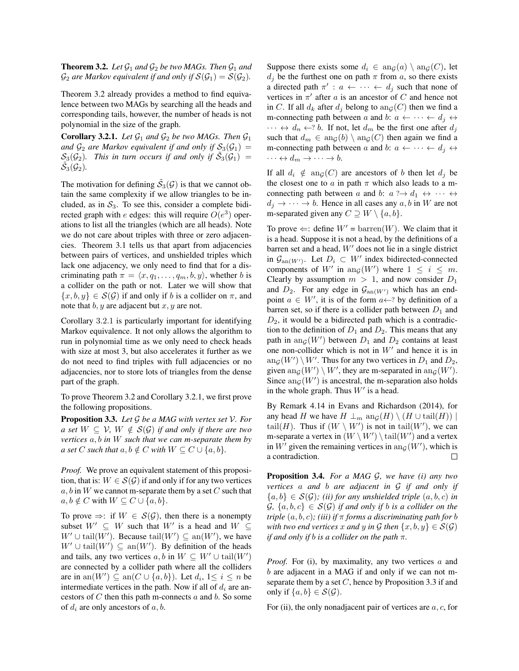**Theorem 3.2.** Let  $\mathcal{G}_1$  and  $\mathcal{G}_2$  be two MAGs. Then  $\mathcal{G}_1$  and  $\mathcal{G}_2$  *are Markov equivalent if and only if*  $\mathcal{S}(\mathcal{G}_1) = \mathcal{S}(\mathcal{G}_2)$ *.* 

Theorem 3.2 already provides a method to find equivalence between two MAGs by searching all the heads and corresponding tails, however, the number of heads is not polynomial in the size of the graph.

**Corollary 3.2.1.** Let  $\mathcal{G}_1$  and  $\mathcal{G}_2$  be two MAGs. Then  $\mathcal{G}_1$ and  $\mathcal{G}_2$  are Markov equivalent if and only if  $\mathcal{S}_3(\mathcal{G}_1)$  =  $\mathcal{S}_3(\mathcal{G}_2)$ . This in turn occurs if and only if  $\tilde{\mathcal{S}}_3(\mathcal{G}_1)$  =  $\tilde{\mathcal{S}_{3}}(\mathcal{G}_{2}).$ 

The motivation for defining  $\tilde{S}_3(\mathcal{G})$  is that we cannot obtain the same complexity if we allow triangles to be included, as in  $S_3$ . To see this, consider a complete bidirected graph with e edges: this will require  $O(e^3)$  operations to list all the triangles (which are all heads). Note we do not care about triples with three or zero adjacencies. Theorem 3.1 tells us that apart from adjacencies between pairs of vertices, and unshielded triples which lack one adjacency, we only need to find that for a discriminating path  $\pi = \langle x, q_1, \ldots, q_m, b, y \rangle$ , whether b is a collider on the path or not. Later we will show that  $\{x, b, y\} \in \mathcal{S}(\mathcal{G})$  if and only if b is a collider on  $\pi$ , and note that  $b, y$  are adjacent but  $x, y$  are not.

Corollary 3.2.1 is particularly important for identifying Markov equivalence. It not only allows the algorithm to run in polynomial time as we only need to check heads with size at most 3, but also accelerates it further as we do not need to find triples with full adjacencies or no adjacencies, nor to store lots of triangles from the dense part of the graph.

To prove Theorem 3.2 and Corollary 3.2.1, we first prove the following propositions.

Proposition 3.3. *Let* G *be a MAG with vertex set* V*. For a set*  $W \subseteq V$ ,  $W \notin S(G)$  *if and only if there are two vertices* a, b *in* W *such that we can m-separate them by a set* C *such that*  $a, b \notin C$  *with*  $W \subseteq C \cup \{a, b\}$ .

*Proof.* We prove an equivalent statement of this proposition, that is:  $W \in \mathcal{S}(\mathcal{G})$  if and only if for any two vertices  $a, b$  in W we cannot m-separate them by a set C such that  $a, b \notin C$  with  $W \subseteq C \cup \{a, b\}.$ 

To prove  $\Rightarrow$ : if  $W \in S(G)$ , then there is a nonempty subset  $W' \subseteq W$  such that  $W'$  is a head and  $W \subseteq$  $W' \cup \text{tail}(W')$ . Because  $\text{tail}(W') \subseteq \text{an}(W')$ , we have  $W' \cup \text{tail}(W') \subseteq \text{an}(W')$ . By definition of the heads and tails, any two vertices  $a, b$  in  $W \subseteq W' \cup \text{tail}(W')$ are connected by a collider path where all the colliders are in an( $W'$ )  $\subseteq$  an( $C \cup \{a, b\}$ ). Let  $d_i$ ,  $1 \le i \le n$  be intermediate vertices in the path. Now if all of  $d_i$  are ancestors of  $C$  then this path m-connects  $a$  and  $b$ . So some of  $d_i$  are only ancestors of  $a, b$ .

Suppose there exists some  $d_i \in \text{an}_\mathcal{G}(a) \setminus \text{an}_\mathcal{G}(C)$ , let  $d_i$  be the furthest one on path  $\pi$  from a, so there exists a directed path  $\pi'$  :  $a \leftarrow \cdots \leftarrow d_j$  such that none of vertices in  $\pi'$  after a is an ancestor of C and hence not in C. If all  $d_k$  after  $d_j$  belong to  $\text{ang}(C)$  then we find a m-connecting path between a and b:  $a \leftarrow \cdots \leftarrow d_i \leftrightarrow$  $\cdots \leftrightarrow d_n \leftarrow ? b$ . If not, let  $d_m$  be the first one after  $d_j$ such that  $d_m \in \text{ang}(b) \setminus \text{ang}(C)$  then again we find a m-connecting path between a and b:  $a \leftarrow \cdots \leftarrow d_j \leftrightarrow$  $\cdots \leftrightarrow d_m \rightarrow \cdots \rightarrow b.$ 

If all  $d_i \notin \text{ang}(C)$  are ancestors of b then let  $d_j$  be the closest one to a in path  $\pi$  which also leads to a mconnecting path between a and b:  $a \rightarrow a_1 \leftrightarrow \cdots \leftrightarrow$  $d_i \rightarrow \cdots \rightarrow b$ . Hence in all cases any  $a, b$  in W are not m-separated given any  $C \supseteq W \setminus \{a, b\}.$ 

To prove  $\Leftarrow$ : define  $W' = \text{barren}(W)$ . We claim that it is a head. Suppose it is not a head, by the definitions of a barren set and a head,  $W'$  does not lie in a single district in  $\mathcal{G}_{\text{an}(W')}$ . Let  $D_i \subset W'$  index bidirected-connected components of W' in ang(W') where  $1 \leq i \leq m$ . Clearly by assumption  $m > 1$ , and now consider  $D_1$ and  $D_2$ . For any edge in  $\mathcal{G}_{an(W')}$  which has an endpoint  $a \in W'$ , it is of the form  $a \leftarrow ?$  by definition of a barren set, so if there is a collider path between  $D_1$  and  $D_2$ , it would be a bidirected path which is a contradiction to the definition of  $D_1$  and  $D_2$ . This means that any path in  $\text{ang}(W')$  between  $D_1$  and  $D_2$  contains at least one non-collider which is not in  $W'$  and hence it is in  $\operatorname{ang}(W') \setminus W'$ . Thus for any two vertices in  $D_1$  and  $D_2$ , given  $\text{ang}(W') \setminus W'$ , they are m-separated in  $\text{ang}(W')$ . Since  $\text{ang}(W')$  is ancestral, the m-separation also holds in the whole graph. Thus  $W'$  is a head.

By Remark 4.14 in Evans and Richardson (2014), for any head H we have  $H \perp_m \text{an}_G(H) \setminus (H \cup \text{tail}(H))$ tail(H). Thus if  $(W \setminus W')$  is not in tail(W'), we can m-separate a vertex in  $(W \setminus W') \setminus \text{tail}(W')$  and a vertex in W' given the remaining vertices in  $\text{ang}(W')$ , which is a contradiction. П

Proposition 3.4. *For a MAG* G*, we have (i) any two vertices* a *and* b *are adjacent in* G *if and only if*  ${a,b} \in \mathcal{S}(\mathcal{G})$ ; *(ii) for any unshielded triple*  $(a,b,c)$  *in*  $\mathcal{G}, \{a, b, c\} \in \mathcal{S}(\mathcal{G})$  *if and only if b is a collider on the triple* (a, b, c)*; (iii) if* π *forms a discriminating path for* b *with two end vertices* x *and* y *in* G *then*  $\{x, b, y\} \in S(\mathcal{G})$ *if and only if* b *is a collider on the path* π*.*

*Proof.* For (i), by maximality, any two vertices a and b are adjacent in a MAG if and only if we can not mseparate them by a set  $C$ , hence by Proposition 3.3 if and only if  $\{a, b\} \in \mathcal{S}(\mathcal{G})$ .

For (ii), the only nonadjacent pair of vertices are  $a, c$ , for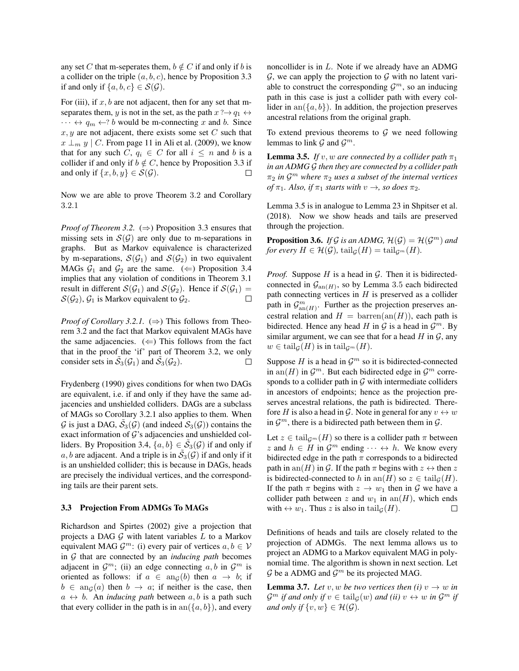any set C that m-seperates them,  $b \notin C$  if and only if b is a collider on the triple  $(a, b, c)$ , hence by Proposition 3.3 if and only if  $\{a, b, c\} \in \mathcal{S}(\mathcal{G})$ .

For (iii), if  $x, b$  are not adjacent, then for any set that mseparates them, y is not in the set, as the path  $x \rightarrow q_1 \leftrightarrow$  $\cdots \leftrightarrow q_m \leftarrow ? b$  would be m-connecting x and b. Since  $x, y$  are not adjacent, there exists some set  $C$  such that  $x \perp_m y \mid C$ . From page 11 in Ali et al. (2009), we know that for any such C,  $q_i \in C$  for all  $i \leq n$  and b is a collider if and only if  $b \notin C$ , hence by Proposition 3.3 if and only if  $\{x, b, y\} \in \mathcal{S}(\mathcal{G})$ .  $\Box$ 

Now we are able to prove Theorem 3.2 and Corollary 3.2.1

*Proof of Theorem 3.2.* ( $\Rightarrow$ ) Proposition 3.3 ensures that missing sets in  $S(G)$  are only due to m-separations in graphs. But as Markov equivalence is characterized by m-separations,  $S(\mathcal{G}_1)$  and  $S(\mathcal{G}_2)$  in two equivalent MAGs  $G_1$  and  $G_2$  are the same. ( $\Leftarrow$ ) Proposition 3.4 implies that any violation of conditions in Theorem 3.1 result in different  $S(\mathcal{G}_1)$  and  $S(\mathcal{G}_2)$ . Hence if  $S(\mathcal{G}_1)$  =  $S(\mathcal{G}_2)$ ,  $\mathcal{G}_1$  is Markov equivalent to  $\mathcal{G}_2$ .  $\Box$ 

*Proof of Corollary 3.2.1.* ( $\Rightarrow$ ) This follows from Theorem 3.2 and the fact that Markov equivalent MAGs have the same adjacencies.  $(\Leftarrow)$  This follows from the fact that in the proof the 'if' part of Theorem 3.2, we only consider sets in  $\tilde{S}_3(\mathcal{G}_1)$  and  $\tilde{S}_3(\mathcal{G}_2)$ .  $\Box$ 

Frydenberg (1990) gives conditions for when two DAGs are equivalent, i.e. if and only if they have the same adjacencies and unshielded colliders. DAGs are a subclass of MAGs so Corollary 3.2.1 also applies to them. When  $G$  is just a DAG,  $\tilde{S}_3(\mathcal{G})$  (and indeed  $\mathcal{S}_3(\mathcal{G})$ ) contains the exact information of  $G$ 's adjacencies and unshielded colliders. By Proposition 3.4,  $\{a, b\} \in \tilde{S}_3(\mathcal{G})$  if and only if a, b are adjacent. And a triple is in  $\tilde{S}_3(\mathcal{G})$  if and only if it is an unshielded collider; this is because in DAGs, heads are precisely the individual vertices, and the corresponding tails are their parent sets.

#### 3.3 Projection From ADMGs To MAGs

Richardson and Spirtes (2002) give a projection that projects a DAG  $G$  with latent variables  $L$  to a Markov equivalent MAG  $\mathcal{G}^m$ : (i) every pair of vertices  $a, b \in \mathcal{V}$ in G that are connected by an *inducing path* becomes adjacent in  $\mathcal{G}^m$ ; (ii) an edge connecting  $a, b$  in  $\mathcal{G}^m$  is oriented as follows: if  $a \in \text{an}_{\mathcal{G}}(b)$  then  $a \to b$ ; if  $b \in \text{ang}(a)$  then  $b \to a$ ; if neither is the case, then  $a \leftrightarrow b$ . An *inducing path* between a, b is a path such that every collider in the path is in  $an({a, b})$ , and every noncollider is in L. Note if we already have an ADMG  $G$ , we can apply the projection to  $G$  with no latent variable to construct the corresponding  $\mathcal{G}^m$ , so an inducing path in this case is just a collider path with every collider in an $({a, b})$ . In addition, the projection preserves ancestral relations from the original graph.

To extend previous theorems to  $G$  we need following lemmas to link  $G$  and  $G^m$ .

**Lemma 3.5.** *If*  $v, w$  *are connected by a collider path*  $\pi_1$ *in an ADMG* G *then they are connected by a collider path*  $\pi_2$  *in*  $\mathcal{G}^m$  where  $\pi_2$  *uses a subset of the internal vertices of*  $\pi_1$ *. Also, if*  $\pi_1$  *starts with*  $v \rightarrow$ *, so does*  $\pi_2$ *.* 

Lemma 3.5 is in analogue to Lemma 23 in Shpitser et al. (2018). Now we show heads and tails are preserved through the projection.

**Proposition 3.6.** *If*  $G$  *is an ADMG,*  $H(G) = H(G^m)$  *and for every*  $H \in \mathcal{H}(\mathcal{G})$ , tail $_{\mathcal{G}}(H) = \text{tail}_{\mathcal{G}^m}(H)$ .

*Proof.* Suppose  $H$  is a head in  $G$ . Then it is bidirectedconnected in  $\mathcal{G}_{an(H)}$ , so by Lemma 3.5 each bidirected path connecting vertices in  $H$  is preserved as a collider path in  $\mathcal{G}_{an(H)}^m$ . Further as the projection preserves ancestral relation and  $H = \text{barren}(\text{an}(H))$ , each path is bidirected. Hence any head H in  $\mathcal G$  is a head in  $\mathcal G^m$ . By similar argument, we can see that for a head  $H$  in  $\mathcal{G}$ , any  $w \in \text{tail}_{G}(H)$  is in tail $_{G^m}(H)$ .

Suppose H is a head in  $\mathcal{G}^m$  so it is bidirected-connected in an(H) in  $\mathcal{G}^m$ . But each bidirected edge in  $\mathcal{G}^m$  corresponds to a collider path in  $G$  with intermediate colliders in ancestors of endpoints; hence as the projection preserves ancestral relations, the path is bidirected. Therefore H is also a head in G. Note in general for any  $v \leftrightarrow w$ in  $\mathcal{G}^m$ , there is a bidirected path between them in  $\mathcal{G}$ .

Let  $z \in \text{tail}_{\mathcal{G}^m}(H)$  so there is a collider path  $\pi$  between z and  $h \in H$  in  $\mathcal{G}^m$  ending  $\dots \leftrightarrow h$ . We know every bidirected edge in the path  $\pi$  corresponds to a bidirected path in an(H) in G. If the path  $\pi$  begins with  $z \leftrightarrow$  then z is bidirected-connected to h in an(H) so  $z \in \text{tail}_{G}(H)$ . If the path  $\pi$  begins with  $z \to w_1$  then in  $\mathcal G$  we have a collider path between z and  $w_1$  in an(H), which ends with  $\leftrightarrow w_1$ . Thus z is also in tail $_{\mathcal{G}}(H)$ .  $\Box$ 

Definitions of heads and tails are closely related to the projection of ADMGs. The next lemma allows us to project an ADMG to a Markov equivalent MAG in polynomial time. The algorithm is shown in next section. Let  $\mathcal G$  be a ADMG and  $\mathcal G^m$  be its projected MAG.

**Lemma 3.7.** Let v, w be two vertices then (i)  $v \rightarrow w$  in  $\mathcal{G}^m$  *if and only if*  $v \in \text{tail}_{\mathcal{G}}(w)$  *and (ii)*  $v \leftrightarrow w$  *in*  $\mathcal{G}^m$  *if and only if*  $\{v, w\} \in \mathcal{H}(\mathcal{G})$ *.*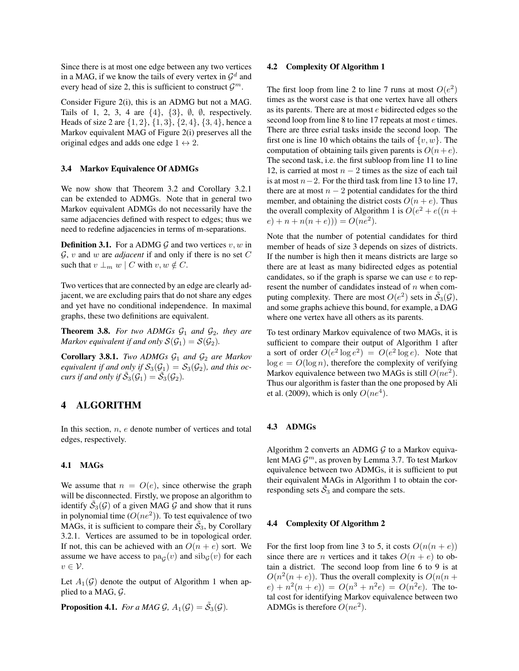Since there is at most one edge between any two vertices in a MAG, if we know the tails of every vertex in  $\mathcal{G}^d$  and every head of size 2, this is sufficient to construct  $\mathcal{G}^m$ .

Consider Figure 2(i), this is an ADMG but not a MAG. Tails of 1, 2, 3, 4 are  $\{4\}$ ,  $\{3\}$ ,  $\emptyset$ ,  $\emptyset$ , respectively. Heads of size 2 are  $\{1, 2\}, \{1, 3\}, \{2, 4\}, \{3, 4\},$  hence a Markov equivalent MAG of Figure 2(i) preserves all the original edges and adds one edge  $1 \leftrightarrow 2$ .

#### 3.4 Markov Equivalence Of ADMGs

We now show that Theorem 3.2 and Corollary 3.2.1 can be extended to ADMGs. Note that in general two Markov equivalent ADMGs do not necessarily have the same adjacencies defined with respect to edges; thus we need to redefine adjacencies in terms of m-separations.

**Definition 3.1.** For a ADMG G and two vertices  $v, w$  in  $\mathcal{G}, v$  and w are *adjacent* if and only if there is no set C such that  $v \perp_m w \mid C$  with  $v, w \notin C$ .

Two vertices that are connected by an edge are clearly adjacent, we are excluding pairs that do not share any edges and yet have no conditional independence. In maximal graphs, these two definitions are equivalent.

**Theorem 3.8.** For two ADMGs  $G_1$  and  $G_2$ , they are *Markov equivalent if and only*  $S(\mathcal{G}_1) = S(\mathcal{G}_2)$ *.* 

**Corollary 3.8.1.** *Two ADMGs*  $G_1$  *and*  $G_2$  *are Markov equivalent if and only if*  $S_3(\mathcal{G}_1) = S_3(\mathcal{G}_2)$ *, and this occurs if and only if*  $\tilde{S}_3(\mathcal{G}_1) = \tilde{S}_3(\mathcal{G}_2)$ *.* 

# 4 ALGORITHM

In this section,  $n$ ,  $e$  denote number of vertices and total edges, respectively.

#### 4.1 MAGs

We assume that  $n = O(e)$ , since otherwise the graph will be disconnected. Firstly, we propose an algorithm to identify  $\tilde{S}_3(\mathcal{G})$  of a given MAG  $\tilde{\mathcal{G}}$  and show that it runs in polynomial time  $(O(ne^2))$ . To test equivalence of two MAGs, it is sufficient to compare their  $\tilde{S}_3$ , by Corollary 3.2.1. Vertices are assumed to be in topological order. If not, this can be achieved with an  $O(n + e)$  sort. We assume we have access to  $pa_G(v)$  and  $sib_G(v)$  for each  $v \in \mathcal{V}$ .

Let  $A_1(\mathcal{G})$  denote the output of Algorithm 1 when applied to a MAG, G.

**Proposition 4.1.** *For a MAG*  $\mathcal{G}$ ,  $A_1(\mathcal{G}) = \tilde{S}_3(\mathcal{G})$ *.* 

#### 4.2 Complexity Of Algorithm 1

The first loop from line 2 to line 7 runs at most  $O(e^2)$ times as the worst case is that one vertex have all others as its parents. There are at most e bidirected edges so the second loop from line 8 to line 17 repeats at most  $e$  times. There are three esrial tasks inside the second loop. The first one is line 10 which obtains the tails of  $\{v, w\}$ . The computation of obtaining tails given parents is  $O(n+e)$ . The second task, i.e. the first subloop from line 11 to line 12, is carried at most  $n - 2$  times as the size of each tail is at most  $n-2$ . For the third task from line 13 to line 17, there are at most  $n - 2$  potential candidates for the third member, and obtaining the district costs  $O(n + e)$ . Thus the overall complexity of Algorithm 1 is  $O(e^2 + e((n +$  $(e) + n + n(n + e)) = O(ne^2).$ 

Note that the number of potential candidates for third member of heads of size 3 depends on sizes of districts. If the number is high then it means districts are large so there are at least as many bidirected edges as potential candidates, so if the graph is sparse we can use  $e$  to represent the number of candidates instead of  $n$  when computing complexity. There are most  $O(e^2)$  sets in  $\tilde{S}_3(\mathcal{G})$ , and some graphs achieve this bound, for example, a DAG where one vertex have all others as its parents.

To test ordinary Markov equivalence of two MAGs, it is sufficient to compare their output of Algorithm 1 after a sort of order  $O(e^2 \log e^2) = O(e^2 \log e)$ . Note that  $\log e = O(\log n)$ , therefore the complexity of verifying Markov equivalence between two MAGs is still  $O(ne^2)$ . Thus our algorithm is faster than the one proposed by Ali et al. (2009), which is only  $O(ne<sup>4</sup>)$ .

### 4.3 ADMGs

Algorithm 2 converts an ADMG  $G$  to a Markov equivalent MAG  $\mathcal{G}^m$ , as proven by Lemma 3.7. To test Markov equivalence between two ADMGs, it is sufficient to put their equivalent MAGs in Algorithm 1 to obtain the corresponding sets  $\tilde{S}_3$  and compare the sets.

#### 4.4 Complexity Of Algorithm 2

For the first loop from line 3 to 5, it costs  $O(n(n + e))$ since there are *n* vertices and it takes  $O(n + e)$  to obtain a district. The second loop from line 6 to 9 is at  $O(n^2(n+e))$ . Thus the overall complexity is  $O(n(n+e))$  $(e) + n^2(n + e) = O(n^3 + n^2e) = O(n^2e)$ . The total cost for identifying Markov equivalence between two ADMGs is therefore  $O(ne^2)$ .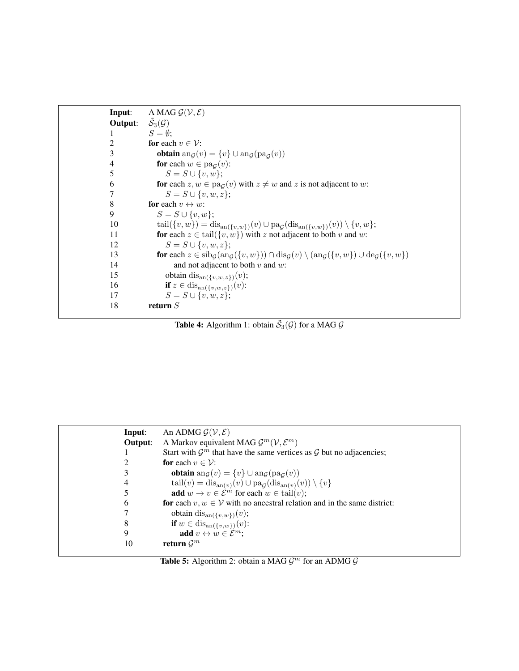```
Input: A MAG \mathcal{G}(\mathcal{V}, \mathcal{E})Output:
               \tilde{\mathcal{S}}_3(\mathcal{G})1 S = \emptyset;2 for each v \in \mathcal{V}:<br>3 obtain an<sub>G</sub>(v
3 obtain \text{and}(v) = \{v\} \cup \text{and}(\text{pa}_{\mathcal{G}}(v))4 for each w \in pa_{\mathcal{G}}(v):
5 S = S \cup \{v, w\};6 for each z, w \in pa_{\mathcal{G}}(v) with z \neq w and z is not adjacent to w:
7 S = S \cup \{v, w, z\};8 for each v \leftrightarrow w:
9 S = S \cup \{v, w\};10 \text{tail}(\{v, w\}) = \text{dis}_{\text{an}(\{v, w\})}(v) \cup \text{pa}_{\mathcal{G}}(\text{dis}_{\text{an}(\{v, w\})}(v)) \setminus \{v, w\};11 for each z \in \text{tail}(\{v, w\}) with z not adjacent to both v and w:
12 S = S \cup \{v, w, z\};13 for each z \in \text{sib}_{\mathcal{G}}(\text{an}_{\mathcal{G}}(\{v, w\})) \cap \text{dis}_{\mathcal{G}}(v) \setminus (\text{an}_{\mathcal{G}}(\{v, w\}) \cup \text{deg}(\{v, w\})<br>14 and not adjacent to both v and w:
                         and not adjacent to both v and w:
15 obtain dis<sub>an({v,w,z})</sub>(v);<br>16 if z \in \text{dis}_{\text{an}(\{v, w, z\})}(v):
16 if z \in \text{dis}_{\text{an}(\{v,w,z\})}(v):
17 S = S \cup \{v, w, z\};18 return S
```
**Table 4:** Algorithm 1: obtain  $\tilde{S}_3(\mathcal{G})$  for a MAG  $\mathcal{G}$ 

| Input:  | An ADMG $\mathcal{G}(\mathcal{V}, \mathcal{E})$                                            |
|---------|--------------------------------------------------------------------------------------------|
| Output: | A Markov equivalent MAG $\mathcal{G}^m(\mathcal{V}, \mathcal{E}^m)$                        |
|         | Start with $\mathcal{G}^m$ that have the same vertices as $\mathcal G$ but no adjacencies; |
| 2       | <b>for</b> each $v \in \mathcal{V}$ :                                                      |
| 3       | <b>obtain</b> ang $(v) = \{v\} \cup$ ang $(\text{pa}_{\mathcal{G}}(v))$                    |
| 4       | $tail(v) = dis_{an(v)}(v) \cup pa_G(dis_{an(v)}(v)) \setminus \{v\}$                       |
| 5       | <b>add</b> $w \to v \in \mathcal{E}^m$ for each $w \in \text{tail}(v)$ ;                   |
| 6       | for each $v, w \in V$ with no ancestral relation and in the same district:                 |
|         | obtain dis <sub>an({v,w})</sub> (v);                                                       |
| 8       | <b>if</b> $w \in \text{dis}_{\text{an}(\{v,w\})}(v)$ :                                     |
| 9       | add $v \leftrightarrow w \in \mathcal{E}^m$ ;                                              |
| 10      | return $\mathcal{G}^m$                                                                     |

Table 5: Algorithm 2: obtain a MAG  $\mathcal{G}^m$  for an ADMG  $\mathcal{G}$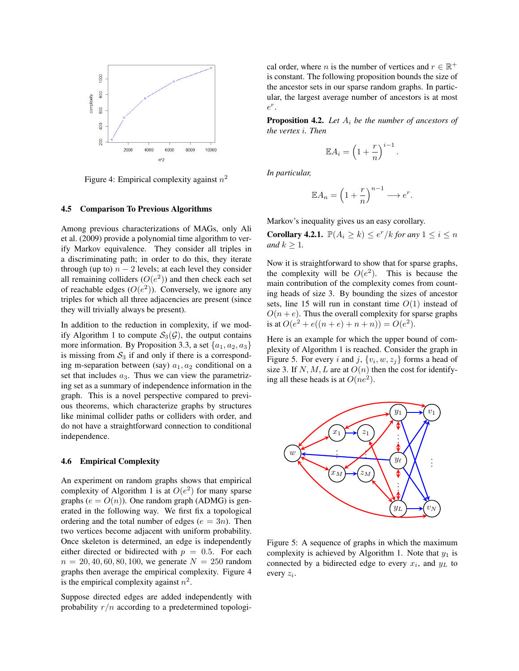

Figure 4: Empirical complexity against  $n^2$ 

#### 4.5 Comparison To Previous Algorithms

Among previous characterizations of MAGs, only Ali et al. (2009) provide a polynomial time algorithm to verify Markov equivalence. They consider all triples in a discriminating path; in order to do this, they iterate through (up to)  $n - 2$  levels; at each level they consider all remaining colliders  $(O(e^2))$  and then check each set of reachable edges  $(O(e^2))$ . Conversely, we ignore any triples for which all three adjacencies are present (since they will trivially always be present).

In addition to the reduction in complexity, if we modify Algorithm 1 to compute  $S_3(\mathcal{G})$ , the output contains more information. By Proposition 3.3, a set  $\{a_1, a_2, a_3\}$ is missing from  $S_3$  if and only if there is a corresponding m-separation between (say)  $a_1, a_2$  conditional on a set that includes  $a_3$ . Thus we can view the parametrizing set as a summary of independence information in the graph. This is a novel perspective compared to previous theorems, which characterize graphs by structures like minimal collider paths or colliders with order, and do not have a straightforward connection to conditional independence.

### 4.6 Empirical Complexity

An experiment on random graphs shows that empirical complexity of Algorithm 1 is at  $O(e^2)$  for many sparse graphs ( $e = O(n)$ ). One random graph (ADMG) is generated in the following way. We first fix a topological ordering and the total number of edges ( $e = 3n$ ). Then two vertices become adjacent with uniform probability. Once skeleton is determined, an edge is independently either directed or bidirected with  $p = 0.5$ . For each  $n = 20, 40, 60, 80, 100$ , we generate  $N = 250$  random graphs then average the empirical complexity. Figure 4 is the empirical complexity against  $n^2$ .

Suppose directed edges are added independently with probability  $r/n$  according to a predetermined topologi-

cal order, where *n* is the number of vertices and  $r \in \mathbb{R}^+$ is constant. The following proposition bounds the size of the ancestor sets in our sparse random graphs. In particular, the largest average number of ancestors is at most  $e^r$ .

Proposition 4.2. *Let* A<sup>i</sup> *be the number of ancestors of the vertex* i*. Then*

$$
\mathbb{E}A_i = \left(1 + \frac{r}{n}\right)^{i-1}.
$$

*In particular,*

$$
\mathbb{E}A_n = \left(1 + \frac{r}{n}\right)^{n-1} \longrightarrow e^r.
$$

Markov's inequality gives us an easy corollary.

**Corollary 4.2.1.**  $\mathbb{P}(A_i \geq k) \leq e^r / k$  *for any*  $1 \leq i \leq n$ *and*  $k > 1$ *.* 

Now it is straightforward to show that for sparse graphs, the complexity will be  $O(e^2)$ . This is because the main contribution of the complexity comes from counting heads of size 3. By bounding the sizes of ancestor sets, line 15 will run in constant time  $O(1)$  instead of  $O(n + e)$ . Thus the overall complexity for sparse graphs is at  $O(e^2 + e((n+e) + n + n)) = O(e^2)$ .

Here is an example for which the upper bound of complexity of Algorithm 1 is reached. Consider the graph in Figure 5. For every i and j,  $\{v_i, w, z_j\}$  forms a head of size 3. If N, M, L are at  $O(n)$  then the cost for identifying all these heads is at  $O(ne^2)$ .



Figure 5: A sequence of graphs in which the maximum complexity is achieved by Algorithm 1. Note that  $y_1$  is connected by a bidirected edge to every  $x_i$ , and  $y_L$  to every  $z_i$ .